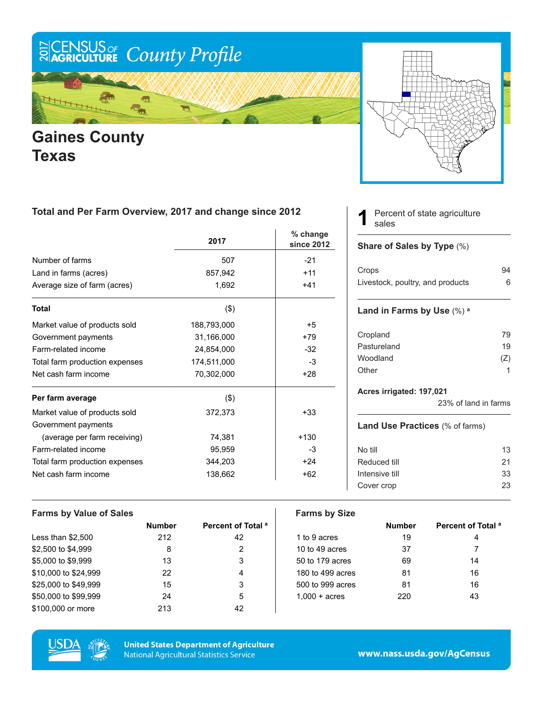

## **Gaines County Texas**



### **Total and Per Farm Overview, 2017 and change since 2012**

|                                | 2017        | $%$ change<br>since 2012 |
|--------------------------------|-------------|--------------------------|
| Number of farms                | 507         | $-21$                    |
| Land in farms (acres)          | 857,942     | $+11$                    |
| Average size of farm (acres)   | 1,692       | $+41$                    |
| <b>Total</b>                   | (3)         |                          |
| Market value of products sold  | 188,793,000 | $+5$                     |
| Government payments            | 31,166,000  | $+79$                    |
| Farm-related income            | 24,854,000  | $-32$                    |
| Total farm production expenses | 174,511,000 | -3                       |
| Net cash farm income           | 70,302,000  | $+28$                    |
| Per farm average               | $($ \$)     |                          |
| Market value of products sold  | 372,373     | $+33$                    |
| Government payments            |             |                          |
| (average per farm receiving)   | 74,381      | $+130$                   |
| Farm-related income            | 95,959      | -3                       |
| Total farm production expenses | 344,203     | $+24$                    |
| Net cash farm income           | 138,662     | $+62$                    |

Percent of state agriculture sales **1**

#### **Share of Sales by Type** (%)

| Crops                            | 94 |
|----------------------------------|----|
| Livestock, poultry, and products | 6  |

#### **Land in Farms by Use** (%) **<sup>a</sup>**

| Cropland    | 79  |
|-------------|-----|
| Pastureland | 19  |
| Woodland    | (Z) |
| Other       |     |

#### **Acres irrigated: 197,021**

23% of land in farms

#### **Land Use Practices** (% of farms)

| No till        | 13 |
|----------------|----|
| Reduced till   | 21 |
| Intensive till | 33 |
| Cover crop     | 23 |
|                |    |

| <b>Farms by Value of Sales</b> |               |                               | <b>Farms by Size</b>   |               |                               |
|--------------------------------|---------------|-------------------------------|------------------------|---------------|-------------------------------|
|                                | <b>Number</b> | Percent of Total <sup>a</sup> |                        | <b>Number</b> | Percent of Total <sup>a</sup> |
| Less than $$2,500$             | 212           | 42                            | 1 to 9 acres           | 19            | 4                             |
| \$2,500 to \$4,999             | 8             | 2                             | 10 to 49 acres         | 37            |                               |
| \$5,000 to \$9,999             | 13            | 3                             | 50 to 179 acres        | 69            | 14                            |
| \$10,000 to \$24,999           | 22            | 4                             | 180 to 499 acres       | 81            | 16                            |
| \$25,000 to \$49,999           | 15            | 3                             | 500 to 999 acres       | 81            | 16                            |
| \$50,000 to \$99,999           | 24            | 5                             | $1.000 + \text{acres}$ | 220           | 43                            |
| \$100,000 or more              | 213           | 42                            |                        |               |                               |



**United States Department of Agriculture National Agricultural Statistics Service** 

www.nass.usda.gov/AgCensus